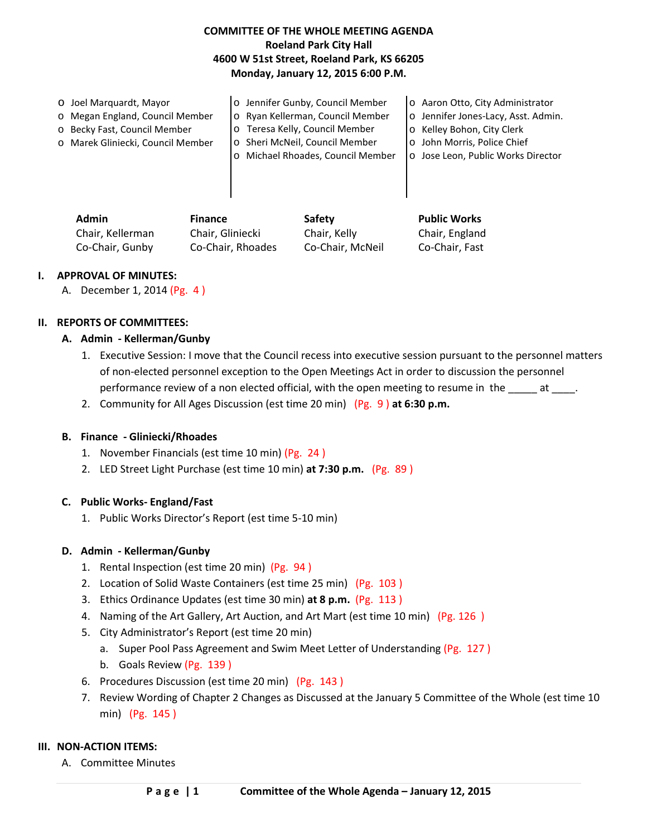# **COMMITTEE OF THE WHOLE MEETING AGENDA Roeland Park City Hall 4600 W 51st Street, Roeland Park, KS 66205 Monday, January 12, 2015 6:00 P.M.**

| O Joel Marquardt, Mayor           | o Jennifer Gunby, Council Member | o Aaron Otto, City Administrator    |  |
|-----------------------------------|----------------------------------|-------------------------------------|--|
| o Megan England, Council Member   | o Ryan Kellerman, Council Member | o Jennifer Jones-Lacy, Asst. Admin. |  |
| o Becky Fast, Council Member      | Teresa Kelly, Council Member     | o Kelley Bohon, City Clerk          |  |
| o Marek Gliniecki, Council Member | o Sheri McNeil, Council Member   | o John Morris, Police Chief         |  |
|                                   | Michael Rhoades, Council Member  | o Jose Leon, Public Works Director  |  |
|                                   |                                  |                                     |  |
|                                   |                                  |                                     |  |
|                                   |                                  |                                     |  |

| <b>Admin</b>     | <b>Finance</b>    | Safety           | <b>Public Works</b> |
|------------------|-------------------|------------------|---------------------|
| Chair, Kellerman | Chair. Gliniecki  | Chair, Kelly     | Chair, England      |
| Co-Chair, Gunby  | Co-Chair, Rhoades | Co-Chair, McNeil | Co-Chair, Fast      |

#### **I. APPROVAL OF MINUTES:**

A. December 1, 2014 (Pg. 4 )

## **II. REPORTS OF COMMITTEES:**

## **A. Admin - Kellerman/Gunby**

- 1. Executive Session: I move that the Council recess into executive session pursuant to the personnel matters of non-elected personnel exception to the Open Meetings Act in order to discussion the personnel performance review of a non elected official, with the open meeting to resume in the \_\_\_\_\_ at \_\_\_\_.
- 2. Community for All Ages Discussion (est time 20 min) (Pg. 9 ) **at 6:30 p.m.**

#### **B. Finance - Gliniecki/Rhoades**

- 1. November Financials (est time 10 min) (Pg. 24 )
- 2. LED Street Light Purchase (est time 10 min) **at 7:30 p.m.** (Pg. 89 )

#### **C. Public Works- England/Fast**

1. Public Works Director's Report (est time 5-10 min)

#### **D. Admin - Kellerman/Gunby**

- 1. Rental Inspection (est time 20 min) (Pg. 94 )
- 2. Location of Solid Waste Containers (est time 25 min) (Pg. 103 )
- 3. Ethics Ordinance Updates (est time 30 min) **at 8 p.m.** (Pg. 113 )
- 4. Naming of the Art Gallery, Art Auction, and Art Mart (est time 10 min) (Pg. 126 )
- 5. City Administrator's Report (est time 20 min)
	- a. Super Pool Pass Agreement and Swim Meet Letter of Understanding (Pg. 127 )
	- b. Goals Review (Pg. 139)
- 6. Procedures Discussion (est time 20 min) (Pg. 143 )
- 7. Review Wording of Chapter 2 Changes as Discussed at the January 5 Committee of the Whole (est time 10 min) (Pg. 145 )

#### **III. NON-ACTION ITEMS:**

A. Committee Minutes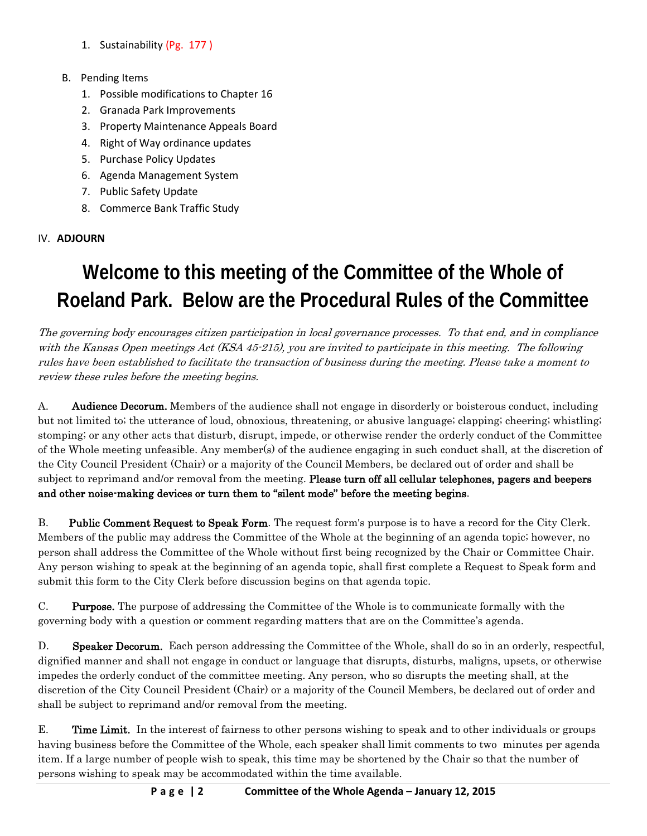- 1. Sustainability (Pg. 177 )
- B. Pending Items
	- 1. Possible modifications to Chapter 16
	- 2. Granada Park Improvements
	- 3. Property Maintenance Appeals Board
	- 4. Right of Way ordinance updates
	- 5. Purchase Policy Updates
	- 6. Agenda Management System
	- 7. Public Safety Update
	- 8. Commerce Bank Traffic Study

IV. **ADJOURN**

# **Welcome to this meeting of the Committee of the Whole of Roeland Park. Below are the Procedural Rules of the Committee**

The governing body encourages citizen participation in local governance processes. To that end, and in compliance with the Kansas Open meetings Act (KSA 45-215), you are invited to participate in this meeting. The following rules have been established to facilitate the transaction of business during the meeting. Please take a moment to review these rules before the meeting begins.

A. **Audience Decorum.** Members of the audience shall not engage in disorderly or boisterous conduct, including but not limited to; the utterance of loud, obnoxious, threatening, or abusive language; clapping; cheering; whistling; stomping; or any other acts that disturb, disrupt, impede, or otherwise render the orderly conduct of the Committee of the Whole meeting unfeasible. Any member(s) of the audience engaging in such conduct shall, at the discretion of the City Council President (Chair) or a majority of the Council Members, be declared out of order and shall be subject to reprimand and/or removal from the meeting. Please turn off all cellular telephones, pagers and beepers and other noise-making devices or turn them to "silent mode" before the meeting begins.

B. Public Comment Request to Speak Form. The request form's purpose is to have a record for the City Clerk. Members of the public may address the Committee of the Whole at the beginning of an agenda topic; however, no person shall address the Committee of the Whole without first being recognized by the Chair or Committee Chair. Any person wishing to speak at the beginning of an agenda topic, shall first complete a Request to Speak form and submit this form to the City Clerk before discussion begins on that agenda topic.

C. Purpose. The purpose of addressing the Committee of the Whole is to communicate formally with the governing body with a question or comment regarding matters that are on the Committee's agenda.

D. Speaker Decorum. Each person addressing the Committee of the Whole, shall do so in an orderly, respectful, dignified manner and shall not engage in conduct or language that disrupts, disturbs, maligns, upsets, or otherwise impedes the orderly conduct of the committee meeting. Any person, who so disrupts the meeting shall, at the discretion of the City Council President (Chair) or a majority of the Council Members, be declared out of order and shall be subject to reprimand and/or removal from the meeting.

E. Time Limit. In the interest of fairness to other persons wishing to speak and to other individuals or groups having business before the Committee of the Whole, each speaker shall limit comments to two minutes per agenda item. If a large number of people wish to speak, this time may be shortened by the Chair so that the number of persons wishing to speak may be accommodated within the time available.